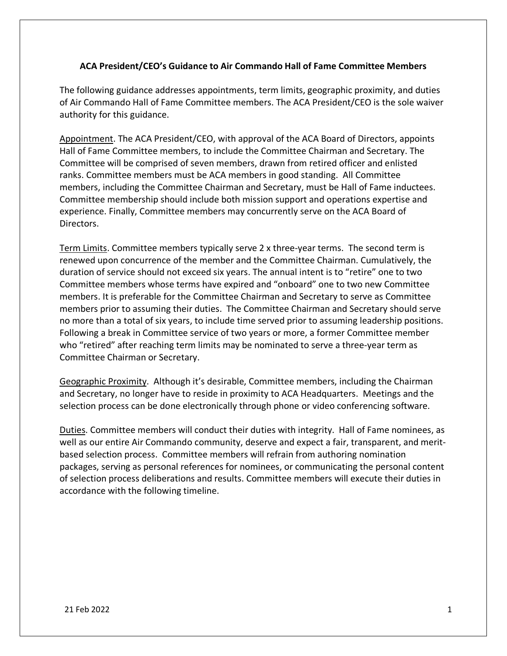## **ACA President/CEO's Guidance to Air Commando Hall of Fame Committee Members**

The following guidance addresses appointments, term limits, geographic proximity, and duties of Air Commando Hall of Fame Committee members. The ACA President/CEO is the sole waiver authority for this guidance.

Appointment. The ACA President/CEO, with approval of the ACA Board of Directors, appoints Hall of Fame Committee members, to include the Committee Chairman and Secretary. The Committee will be comprised of seven members, drawn from retired officer and enlisted ranks. Committee members must be ACA members in good standing. All Committee members, including the Committee Chairman and Secretary, must be Hall of Fame inductees. Committee membership should include both mission support and operations expertise and experience. Finally, Committee members may concurrently serve on the ACA Board of Directors.

Term Limits. Committee members typically serve 2 x three-year terms. The second term is renewed upon concurrence of the member and the Committee Chairman. Cumulatively, the duration of service should not exceed six years. The annual intent is to "retire" one to two Committee members whose terms have expired and "onboard" one to two new Committee members. It is preferable for the Committee Chairman and Secretary to serve as Committee members prior to assuming their duties. The Committee Chairman and Secretary should serve no more than a total of six years, to include time served prior to assuming leadership positions. Following a break in Committee service of two years or more, a former Committee member who "retired" after reaching term limits may be nominated to serve a three-year term as Committee Chairman or Secretary.

Geographic Proximity. Although it's desirable, Committee members, including the Chairman and Secretary, no longer have to reside in proximity to ACA Headquarters. Meetings and the selection process can be done electronically through phone or video conferencing software.

Duties. Committee members will conduct their duties with integrity. Hall of Fame nominees, as well as our entire Air Commando community, deserve and expect a fair, transparent, and meritbased selection process. Committee members will refrain from authoring nomination packages, serving as personal references for nominees, or communicating the personal content of selection process deliberations and results. Committee members will execute their duties in accordance with the following timeline.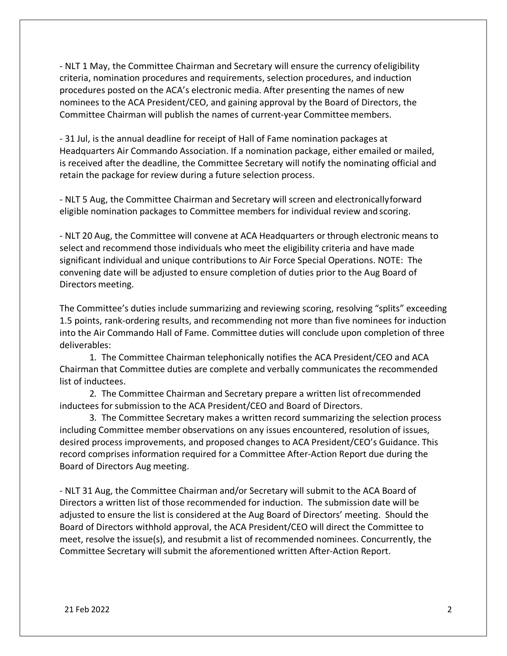- NLT 1 May, the Committee Chairman and Secretary will ensure the currency ofeligibility criteria, nomination procedures and requirements, selection procedures, and induction procedures posted on the ACA's electronic media. After presenting the names of new nominees to the ACA President/CEO, and gaining approval by the Board of Directors, the Committee Chairman will publish the names of current-year Committee members.

- 31 Jul, is the annual deadline for receipt of Hall of Fame nomination packages at Headquarters Air Commando Association. If a nomination package, either emailed or mailed, is received after the deadline, the Committee Secretary will notify the nominating official and retain the package for review during a future selection process.

- NLT 5 Aug, the Committee Chairman and Secretary will screen and electronicallyforward eligible nomination packages to Committee members for individual review and scoring.

- NLT 20 Aug, the Committee will convene at ACA Headquarters or through electronic means to select and recommend those individuals who meet the eligibility criteria and have made significant individual and unique contributions to Air Force Special Operations. NOTE: The convening date will be adjusted to ensure completion of duties prior to the Aug Board of Directors meeting.

The Committee's duties include summarizing and reviewing scoring, resolving "splits" exceeding 1.5 points, rank-ordering results, and recommending not more than five nominees for induction into the Air Commando Hall of Fame. Committee duties will conclude upon completion of three deliverables:

1. The Committee Chairman telephonically notifies the ACA President/CEO and ACA Chairman that Committee duties are complete and verbally communicates the recommended list of inductees.

2. The Committee Chairman and Secretary prepare a written list ofrecommended inductees for submission to the ACA President/CEO and Board of Directors.

3. The Committee Secretary makes a written record summarizing the selection process including Committee member observations on any issues encountered, resolution of issues, desired process improvements, and proposed changes to ACA President/CEO's Guidance. This record comprises information required for a Committee After-Action Report due during the Board of Directors Aug meeting.

- NLT 31 Aug, the Committee Chairman and/or Secretary will submit to the ACA Board of Directors a written list of those recommended for induction. The submission date will be adjusted to ensure the list is considered at the Aug Board of Directors' meeting. Should the Board of Directors withhold approval, the ACA President/CEO will direct the Committee to meet, resolve the issue(s), and resubmit a list of recommended nominees. Concurrently, the Committee Secretary will submit the aforementioned written After-Action Report.